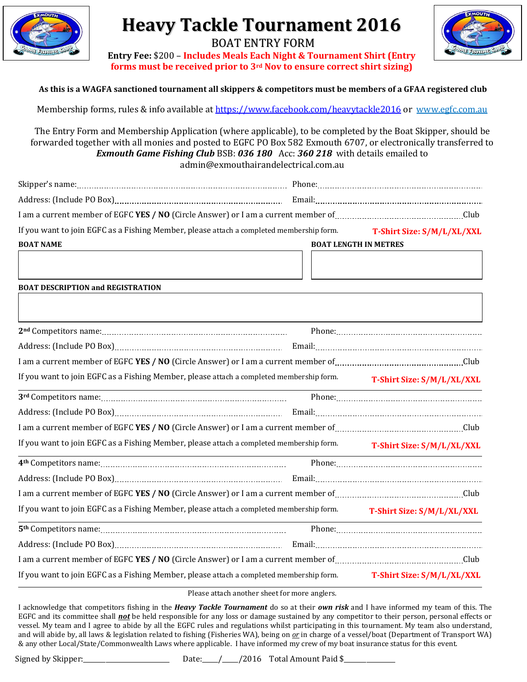

# **Heavy Tackle Tournament 2016**



BOAT ENTRY FORM **Entry Fee:** \$200 – **Includes Meals Each Night & Tournament Shirt (Entry forms must be received prior to 3rd Nov to ensure correct shirt sizing)**

#### **As this is a WAGFA sanctioned tournament all skippers & competitors must be members of a GFAA registered club**

Membership forms, rules & info available at <https://www.facebook.com/heavytackle2016> or ww[w.egfc.com.au](mailto:egfc@westnet.com.au)

The Entry Form and Membership Application (where applicable), to be completed by the Boat Skipper, should be forwarded together with all monies and posted to EGFC PO Box 582 Exmouth 6707, or electronically transferred to *Exmouth Game Fishing Club* BSB: *036 180* Acc: *360 218* with details emailed to admin@exmouthairandelectrical.com.au

| I am a current member of EGFC YES / NO (Circle Answer) or I am a current member of <b>construction</b> and current member of <b>construction</b> Club |                                                                                                                       |                              |
|-------------------------------------------------------------------------------------------------------------------------------------------------------|-----------------------------------------------------------------------------------------------------------------------|------------------------------|
| If you want to join EGFC as a Fishing Member, please attach a completed membership form.                                                              |                                                                                                                       | T-Shirt Size: S/M/L/XL/XXL   |
| <b>BOAT NAME</b>                                                                                                                                      |                                                                                                                       | <b>BOAT LENGTH IN METRES</b> |
|                                                                                                                                                       |                                                                                                                       |                              |
| <b>BOAT DESCRIPTION and REGISTRATION</b>                                                                                                              |                                                                                                                       |                              |
|                                                                                                                                                       |                                                                                                                       |                              |
|                                                                                                                                                       |                                                                                                                       |                              |
|                                                                                                                                                       |                                                                                                                       |                              |
| I am a current member of EGFC YES / NO (Circle Answer) or I am a current member of <b>conservation</b> and current member of <b>conservation</b> Club |                                                                                                                       |                              |
| If you want to join EGFC as a Fishing Member, please attach a completed membership form.                                                              |                                                                                                                       | T-Shirt Size: S/M/L/XL/XXL   |
|                                                                                                                                                       |                                                                                                                       |                              |
|                                                                                                                                                       |                                                                                                                       |                              |
| I am a current member of EGFC YES / NO (Circle Answer) or I am a current member of <b>Constanting the Constantinent</b> Club                          |                                                                                                                       |                              |
| If you want to join EGFC as a Fishing Member, please attach a completed membership form.                                                              |                                                                                                                       | T-Shirt Size: S/M/L/XL/XXL   |
|                                                                                                                                                       |                                                                                                                       |                              |
|                                                                                                                                                       |                                                                                                                       |                              |
| I am a current member of EGFC YES / NO (Circle Answer) or I am a current member of <i>manumumumumumumumum</i> club                                    |                                                                                                                       |                              |
| If you want to join EGFC as a Fishing Member, please attach a completed membership form.                                                              |                                                                                                                       | T-Shirt Size: S/M/L/XL/XXL   |
|                                                                                                                                                       | <u> 1989 - Johann Stoff, deutscher Stoff, der Stoff, der Stoff, der Stoff, der Stoff, der Stoff, der Stoff, der S</u> |                              |
|                                                                                                                                                       |                                                                                                                       |                              |
| I am a current member of EGFC YES / NO (Circle Answer) or I am a current member of <i>manumumumumumumumum</i> club                                    |                                                                                                                       |                              |
| If you want to join EGFC as a Fishing Member, please attach a completed membership form.                                                              |                                                                                                                       | T-Shirt Size: S/M/L/XL/XXL   |

Please attach another sheet for more anglers.

I acknowledge that competitors fishing in the *Heavy Tackle Tournament* do so at their *own risk* and I have informed my team of this. The EGFC and its committee shall *not* be held responsible for any loss or damage sustained by any competitor to their person, personal effects or vessel. My team and I agree to abide by all the EGFC rules and regulations whilst participating in this tournament. My team also understand, and will abide by, all laws & legislation related to fishing (Fisheries WA), being on *or* in charge of a vessel/boat (Department of Transport WA) & any other Local/State/Commonwealth Laws where applicable. I have informed my crew of my boat insurance status for this event.